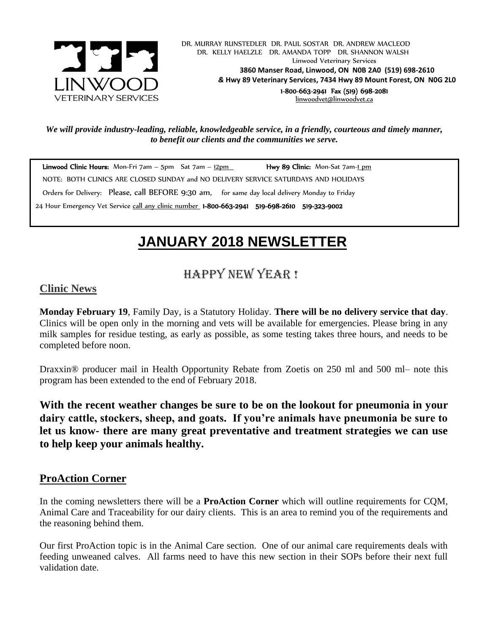

 DR. MURRAY RUNSTEDLER DR. PAUL SOSTAR DR. ANDREW MACLEOD DR. KELLY HAELZLE DR. AMANDA TOPP DR. SHANNON WALSH Linwood Veterinary Services **3860 Manser Road, Linwood, ON N0B 2A0 (519) 698-2610** *&* **Hwy 89 Veterinary Services, 7434 Hwy 89 Mount Forest, ON N0G 2L0** 1-800-663-2941 Fax (519) 698-2081 [linwoodvet@linwoodvet.ca](mailto:linwoodvet@linwoodvet.ca)

*We will provide industry-leading, reliable, knowledgeable service, in a friendly, courteous and timely manner, to benefit our clients and the communities we serve.*

Linwood Clinic Hours: Mon-Fri 7am – 5pm Sat 7am –  $\underline{12pm}$  Hwy 89 Clinic: Mon-Sat 7am- $\underline{1pm}$  NOTE: BOTH CLINICS ARE CLOSED SUNDAY and NO DELIVERY SERVICE SATURDAYS AND HOLIDAYS Orders for Delivery: Please, call BEFORE 9:30 am, for same day local delivery Monday to Friday 24 Hour Emergency Vet Service call any clinic number 1-800-663-2941 519-698-2610 519-323-9002

# *!* **JANUARY 2018 NEWSLETTER**

## Happy New Year !

#### **Clinic News**

**Monday February 19**, Family Day, is a Statutory Holiday. **There will be no delivery service that day**. Clinics will be open only in the morning and vets will be available for emergencies. Please bring in any milk samples for residue testing, as early as possible, as some testing takes three hours, and needs to be completed before noon.

Draxxin<sup>®</sup> producer mail in Health Opportunity Rebate from Zoetis on 250 ml and 500 ml– note this program has been extended to the end of February 2018.

**With the recent weather changes be sure to be on the lookout for pneumonia in your dairy cattle, stockers, sheep, and goats. If you're animals have pneumonia be sure to let us know- there are many great preventative and treatment strategies we can use to help keep your animals healthy.**

#### **ProAction Corner**

In the coming newsletters there will be a **ProAction Corner** which will outline requirements for CQM, Animal Care and Traceability for our dairy clients. This is an area to remind you of the requirements and the reasoning behind them.

Our first ProAction topic is in the Animal Care section. One of our animal care requirements deals with feeding unweaned calves. All farms need to have this new section in their SOPs before their next full validation date.